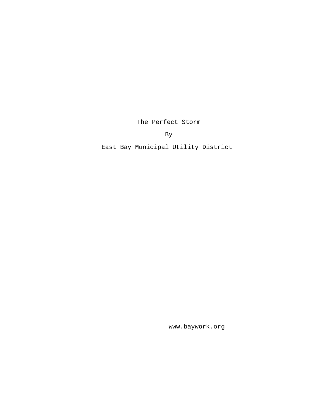The Perfect Storm

By

East Bay Municipal Utility District

www.baywork.org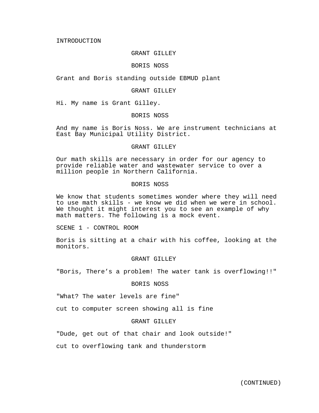INTRODUCTION

### GRANT GILLEY

## BORIS NOSS

Grant and Boris standing outside EBMUD plant

#### GRANT GILLEY

Hi. My name is Grant Gilley.

## BORIS NOSS

And my name is Boris Noss. We are instrument technicians at East Bay Municipal Utility District.

### GRANT GILLEY

Our math skills are necessary in order for our agency to provide reliable water and wastewater service to over a million people in Northern California.

### BORIS NOSS

We know that students sometimes wonder where they will need to use math skills - we know we did when we were in school. We thought it might interest you to see an example of why math matters. The following is a mock event.

SCENE 1 - CONTROL ROOM

Boris is sitting at a chair with his coffee, looking at the monitors.

#### GRANT GILLEY

"Boris, There's a problem! The water tank is overflowing!!"

# BORIS NOSS

"What? The water levels are fine"

cut to computer screen showing all is fine

# GRANT GILLEY

"Dude, get out of that chair and look outside!"

cut to overflowing tank and thunderstorm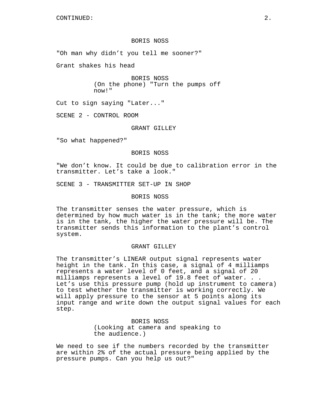### BORIS NOSS

"Oh man why didn't you tell me sooner?"

Grant shakes his head

BORIS NOSS (On the phone) "Turn the pumps off now!"

Cut to sign saying "Later..."

SCENE 2 - CONTROL ROOM

GRANT GILLEY

"So what happened?"

### BORIS NOSS

"We don't know. It could be due to calibration error in the transmitter. Let's take a look."

SCENE 3 - TRANSMITTER SET-UP IN SHOP

#### BORIS NOSS

The transmitter senses the water pressure, which is determined by how much water is in the tank; the more water is in the tank, the higher the water pressure will be. The transmitter sends this information to the plant's control system.

### GRANT GILLEY

The transmitter's LINEAR output signal represents water height in the tank. In this case, a signal of 4 milliamps represents a water level of 0 feet, and a signal of 20 milliamps represents a level of 19.8 feet of water. . . Let's use this pressure pump (hold up instrument to camera) to test whether the transmitter is working correctly. We will apply pressure to the sensor at 5 points along its input range and write down the output signal values for each step.

> BORIS NOSS (Looking at camera and speaking to the audience.)

We need to see if the numbers recorded by the transmitter are within 2% of the actual pressure being applied by the pressure pumps. Can you help us out?"